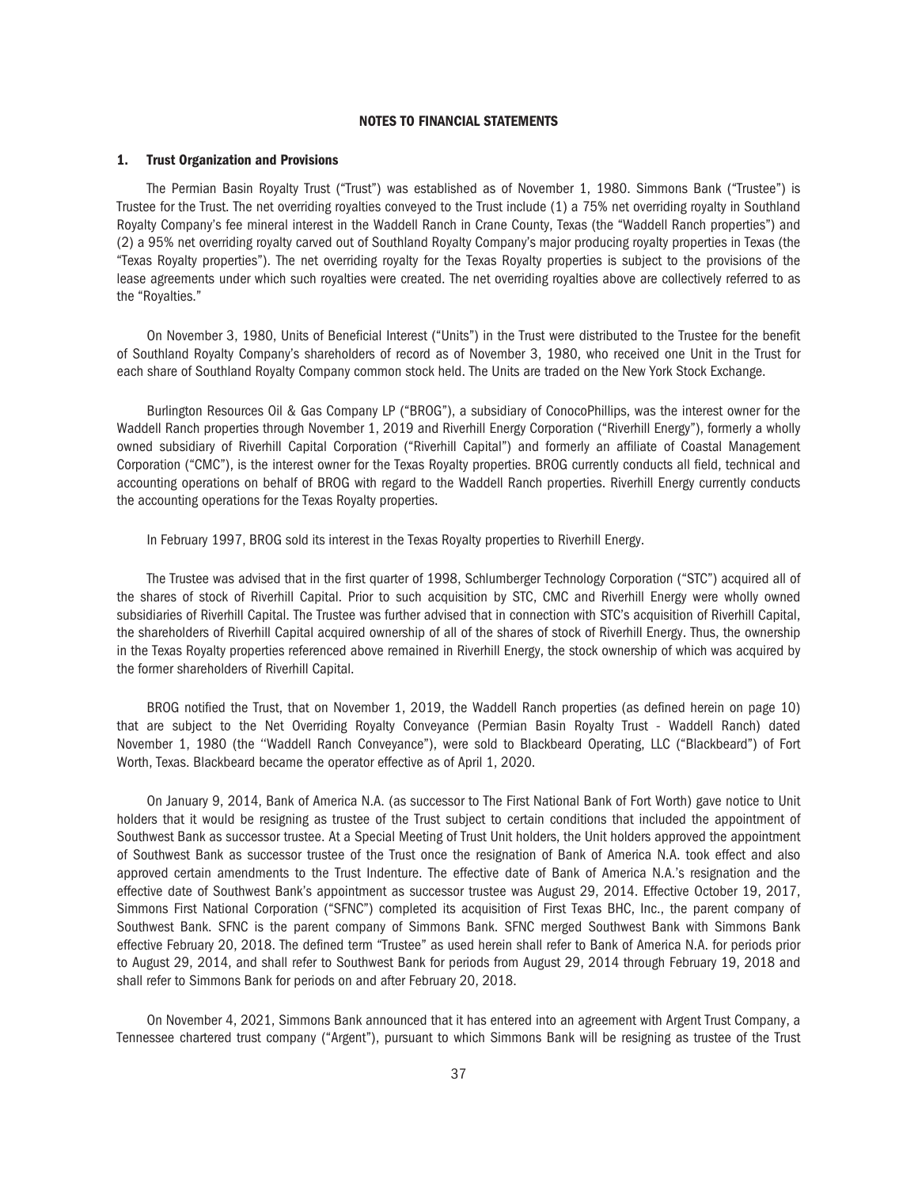## NOTES TO FINANCIAL STATEMENTS

#### 1. Trust Organization and Provisions

The Permian Basin Royalty Trust ("Trust") was established as of November 1, 1980. Simmons Bank ("Trustee") is Trustee for the Trust. The net overriding royalties conveyed to the Trust include (1) a 75% net overriding royalty in Southland Royalty Company's fee mineral interest in the Waddell Ranch in Crane County, Texas (the "Waddell Ranch properties") and (2) a 95% net overriding royalty carved out of Southland Royalty Company's major producing royalty properties in Texas (the "Texas Royalty properties"). The net overriding royalty for the Texas Royalty properties is subject to the provisions of the lease agreements under which such royalties were created. The net overriding royalties above are collectively referred to as the "Royalties."

On November 3, 1980, Units of Beneficial Interest ("Units") in the Trust were distributed to the Trustee for the benefit of Southland Royalty Company's shareholders of record as of November 3, 1980, who received one Unit in the Trust for each share of Southland Royalty Company common stock held. The Units are traded on the New York Stock Exchange.

Burlington Resources Oil & Gas Company LP ("BROG"), a subsidiary of ConocoPhillips, was the interest owner for the Waddell Ranch properties through November 1, 2019 and Riverhill Energy Corporation ("Riverhill Energy"), formerly a wholly owned subsidiary of Riverhill Capital Corporation ("Riverhill Capital") and formerly an affiliate of Coastal Management Corporation ("CMC"), is the interest owner for the Texas Royalty properties. BROG currently conducts all field, technical and accounting operations on behalf of BROG with regard to the Waddell Ranch properties. Riverhill Energy currently conducts the accounting operations for the Texas Royalty properties.

In February 1997, BROG sold its interest in the Texas Royalty properties to Riverhill Energy.

The Trustee was advised that in the first quarter of 1998, Schlumberger Technology Corporation ("STC") acquired all of the shares of stock of Riverhill Capital. Prior to such acquisition by STC, CMC and Riverhill Energy were wholly owned subsidiaries of Riverhill Capital. The Trustee was further advised that in connection with STC's acquisition of Riverhill Capital, the shareholders of Riverhill Capital acquired ownership of all of the shares of stock of Riverhill Energy. Thus, the ownership in the Texas Royalty properties referenced above remained in Riverhill Energy, the stock ownership of which was acquired by the former shareholders of Riverhill Capital.

BROG notified the Trust, that on November 1, 2019, the Waddell Ranch properties (as defined herein on page 10) that are subject to the Net Overriding Royalty Conveyance (Permian Basin Royalty Trust - Waddell Ranch) dated November 1, 1980 (the ''Waddell Ranch Conveyance"), were sold to Blackbeard Operating, LLC ("Blackbeard") of Fort Worth, Texas. Blackbeard became the operator effective as of April 1, 2020.

On January 9, 2014, Bank of America N.A. (as successor to The First National Bank of Fort Worth) gave notice to Unit holders that it would be resigning as trustee of the Trust subject to certain conditions that included the appointment of Southwest Bank as successor trustee. At a Special Meeting of Trust Unit holders, the Unit holders approved the appointment of Southwest Bank as successor trustee of the Trust once the resignation of Bank of America N.A. took effect and also approved certain amendments to the Trust Indenture. The effective date of Bank of America N.A.'s resignation and the effective date of Southwest Bank's appointment as successor trustee was August 29, 2014. Effective October 19, 2017, Simmons First National Corporation ("SFNC") completed its acquisition of First Texas BHC, Inc., the parent company of Southwest Bank. SFNC is the parent company of Simmons Bank. SFNC merged Southwest Bank with Simmons Bank effective February 20, 2018. The defined term "Trustee" as used herein shall refer to Bank of America N.A. for periods prior to August 29, 2014, and shall refer to Southwest Bank for periods from August 29, 2014 through February 19, 2018 and shall refer to Simmons Bank for periods on and after February 20, 2018.

On November 4, 2021, Simmons Bank announced that it has entered into an agreement with Argent Trust Company, a Tennessee chartered trust company ("Argent"), pursuant to which Simmons Bank will be resigning as trustee of the Trust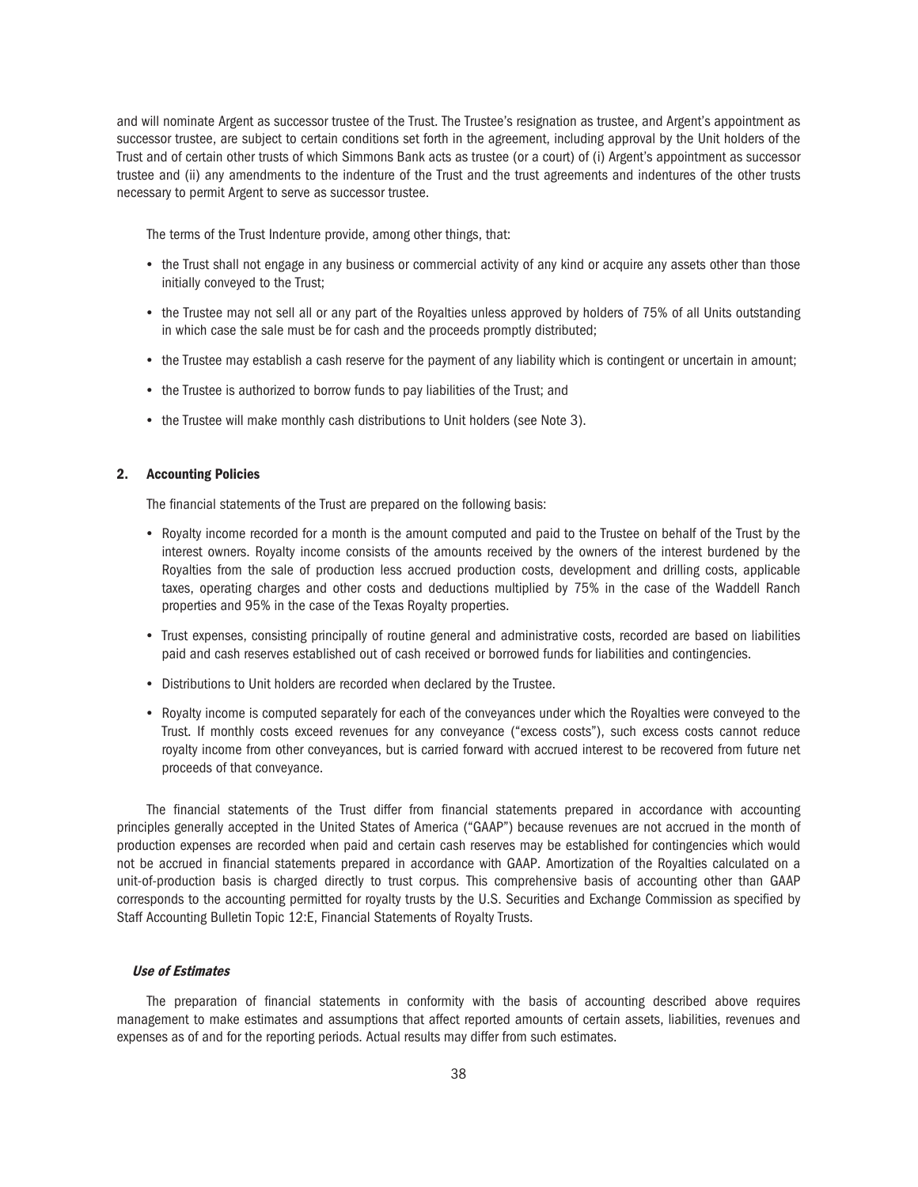and will nominate Argent as successor trustee of the Trust. The Trustee's resignation as trustee, and Argent's appointment as successor trustee, are subject to certain conditions set forth in the agreement, including approval by the Unit holders of the Trust and of certain other trusts of which Simmons Bank acts as trustee (or a court) of (i) Argent's appointment as successor trustee and (ii) any amendments to the indenture of the Trust and the trust agreements and indentures of the other trusts necessary to permit Argent to serve as successor trustee.

The terms of the Trust Indenture provide, among other things, that:

- the Trust shall not engage in any business or commercial activity of any kind or acquire any assets other than those initially conveyed to the Trust;
- the Trustee may not sell all or any part of the Royalties unless approved by holders of 75% of all Units outstanding in which case the sale must be for cash and the proceeds promptly distributed;
- the Trustee may establish a cash reserve for the payment of any liability which is contingent or uncertain in amount;
- the Trustee is authorized to borrow funds to pay liabilities of the Trust; and
- the Trustee will make monthly cash distributions to Unit holders (see Note 3).

## 2. Accounting Policies

The financial statements of the Trust are prepared on the following basis:

- Royalty income recorded for a month is the amount computed and paid to the Trustee on behalf of the Trust by the interest owners. Royalty income consists of the amounts received by the owners of the interest burdened by the Royalties from the sale of production less accrued production costs, development and drilling costs, applicable taxes, operating charges and other costs and deductions multiplied by 75% in the case of the Waddell Ranch properties and 95% in the case of the Texas Royalty properties.
- Trust expenses, consisting principally of routine general and administrative costs, recorded are based on liabilities paid and cash reserves established out of cash received or borrowed funds for liabilities and contingencies.
- Distributions to Unit holders are recorded when declared by the Trustee.
- Royalty income is computed separately for each of the conveyances under which the Royalties were conveyed to the Trust. If monthly costs exceed revenues for any conveyance ("excess costs"), such excess costs cannot reduce royalty income from other conveyances, but is carried forward with accrued interest to be recovered from future net proceeds of that conveyance.

The financial statements of the Trust differ from financial statements prepared in accordance with accounting principles generally accepted in the United States of America ("GAAP") because revenues are not accrued in the month of production expenses are recorded when paid and certain cash reserves may be established for contingencies which would not be accrued in financial statements prepared in accordance with GAAP. Amortization of the Royalties calculated on a unit-of-production basis is charged directly to trust corpus. This comprehensive basis of accounting other than GAAP corresponds to the accounting permitted for royalty trusts by the U.S. Securities and Exchange Commission as specified by Staff Accounting Bulletin Topic 12:E, Financial Statements of Royalty Trusts.

### Use of Estimates

The preparation of financial statements in conformity with the basis of accounting described above requires management to make estimates and assumptions that affect reported amounts of certain assets, liabilities, revenues and expenses as of and for the reporting periods. Actual results may differ from such estimates.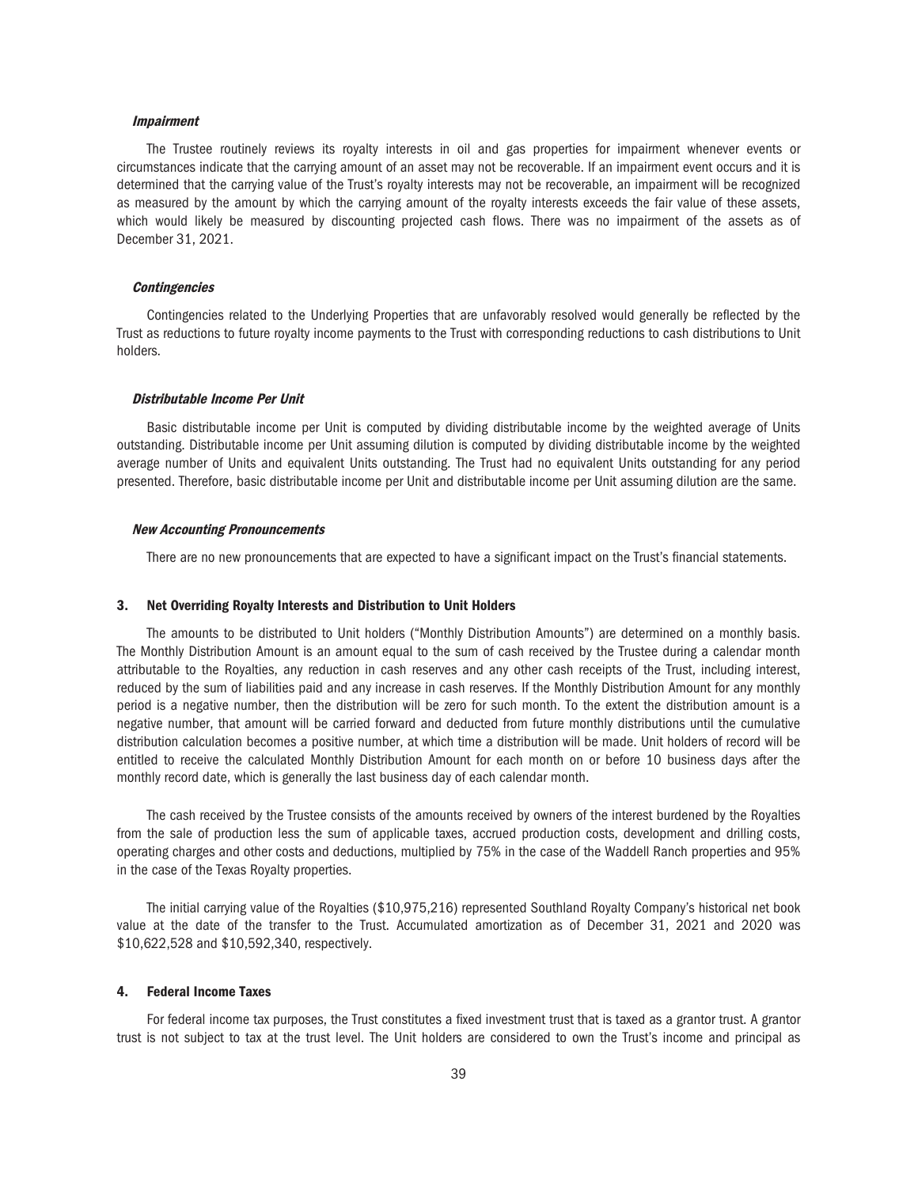## Impairment

The Trustee routinely reviews its royalty interests in oil and gas properties for impairment whenever events or circumstances indicate that the carrying amount of an asset may not be recoverable. If an impairment event occurs and it is determined that the carrying value of the Trust's royalty interests may not be recoverable, an impairment will be recognized as measured by the amount by which the carrying amount of the royalty interests exceeds the fair value of these assets, which would likely be measured by discounting projected cash flows. There was no impairment of the assets as of December 31, 2021.

#### **Contingencies**

Contingencies related to the Underlying Properties that are unfavorably resolved would generally be reflected by the Trust as reductions to future royalty income payments to the Trust with corresponding reductions to cash distributions to Unit holders.

#### Distributable Income Per Unit

Basic distributable income per Unit is computed by dividing distributable income by the weighted average of Units outstanding. Distributable income per Unit assuming dilution is computed by dividing distributable income by the weighted average number of Units and equivalent Units outstanding. The Trust had no equivalent Units outstanding for any period presented. Therefore, basic distributable income per Unit and distributable income per Unit assuming dilution are the same.

#### New Accounting Pronouncements

There are no new pronouncements that are expected to have a significant impact on the Trust's financial statements.

#### 3. Net Overriding Royalty Interests and Distribution to Unit Holders

The amounts to be distributed to Unit holders ("Monthly Distribution Amounts") are determined on a monthly basis. The Monthly Distribution Amount is an amount equal to the sum of cash received by the Trustee during a calendar month attributable to the Royalties, any reduction in cash reserves and any other cash receipts of the Trust, including interest, reduced by the sum of liabilities paid and any increase in cash reserves. If the Monthly Distribution Amount for any monthly period is a negative number, then the distribution will be zero for such month. To the extent the distribution amount is a negative number, that amount will be carried forward and deducted from future monthly distributions until the cumulative distribution calculation becomes a positive number, at which time a distribution will be made. Unit holders of record will be entitled to receive the calculated Monthly Distribution Amount for each month on or before 10 business days after the monthly record date, which is generally the last business day of each calendar month.

The cash received by the Trustee consists of the amounts received by owners of the interest burdened by the Royalties from the sale of production less the sum of applicable taxes, accrued production costs, development and drilling costs, operating charges and other costs and deductions, multiplied by 75% in the case of the Waddell Ranch properties and 95% in the case of the Texas Royalty properties.

The initial carrying value of the Royalties (\$10,975,216) represented Southland Royalty Company's historical net book value at the date of the transfer to the Trust. Accumulated amortization as of December 31, 2021 and 2020 was \$10,622,528 and \$10,592,340, respectively.

#### 4. Federal Income Taxes

For federal income tax purposes, the Trust constitutes a fixed investment trust that is taxed as a grantor trust. A grantor trust is not subject to tax at the trust level. The Unit holders are considered to own the Trust's income and principal as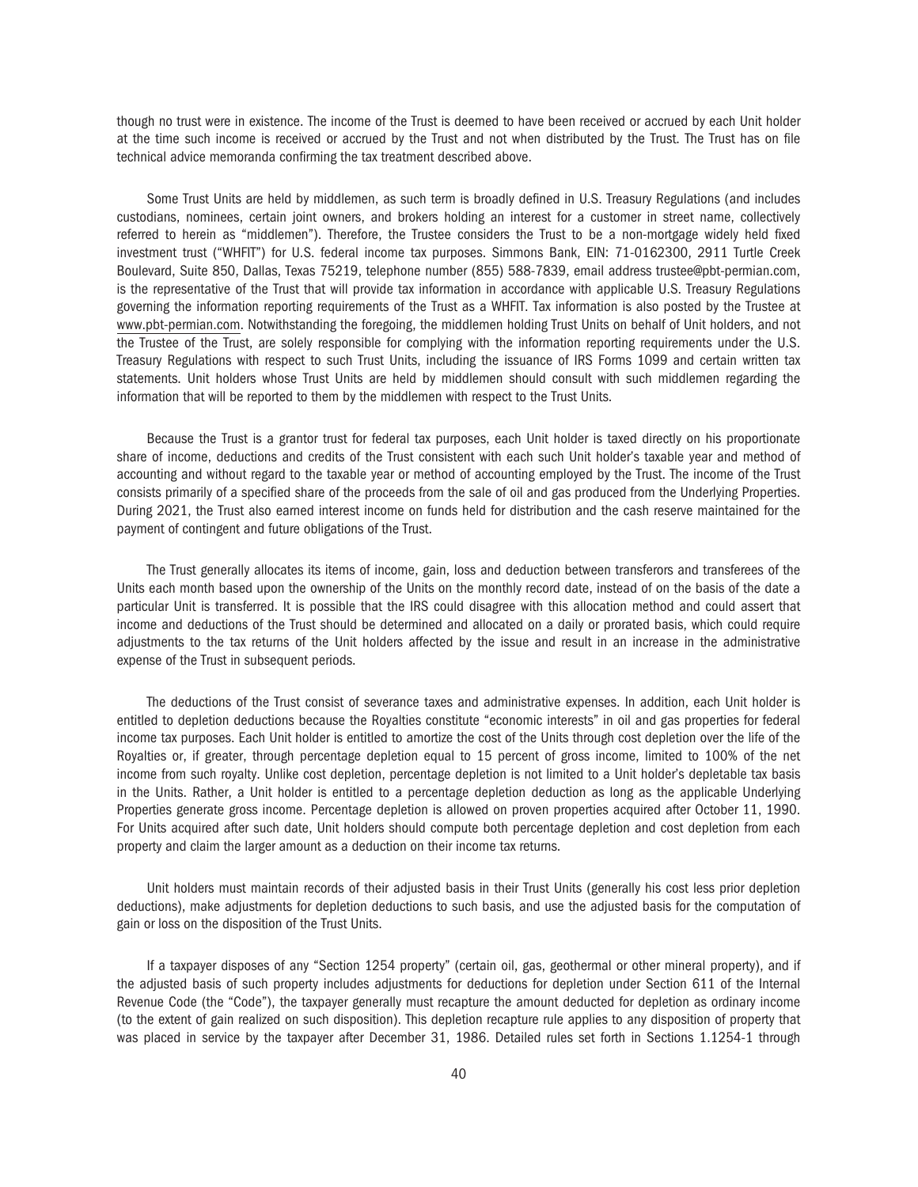though no trust were in existence. The income of the Trust is deemed to have been received or accrued by each Unit holder at the time such income is received or accrued by the Trust and not when distributed by the Trust. The Trust has on file technical advice memoranda confirming the tax treatment described above.

Some Trust Units are held by middlemen, as such term is broadly defined in U.S. Treasury Regulations (and includes custodians, nominees, certain joint owners, and brokers holding an interest for a customer in street name, collectively referred to herein as "middlemen"). Therefore, the Trustee considers the Trust to be a non-mortgage widely held fixed investment trust ("WHFIT") for U.S. federal income tax purposes. Simmons Bank, EIN: 71-0162300, 2911 Turtle Creek Boulevard, Suite 850, Dallas, Texas 75219, telephone number (855) 588-7839, email address trustee@pbt-permian.com, is the representative of the Trust that will provide tax information in accordance with applicable U.S. Treasury Regulations governing the information reporting requirements of the Trust as a WHFIT. Tax information is also posted by the Trustee at www.pbt-permian.com. Notwithstanding the foregoing, the middlemen holding Trust Units on behalf of Unit holders, and not the Trustee of the Trust, are solely responsible for complying with the information reporting requirements under the U.S. Treasury Regulations with respect to such Trust Units, including the issuance of IRS Forms 1099 and certain written tax statements. Unit holders whose Trust Units are held by middlemen should consult with such middlemen regarding the information that will be reported to them by the middlemen with respect to the Trust Units.

Because the Trust is a grantor trust for federal tax purposes, each Unit holder is taxed directly on his proportionate share of income, deductions and credits of the Trust consistent with each such Unit holder's taxable year and method of accounting and without regard to the taxable year or method of accounting employed by the Trust. The income of the Trust consists primarily of a specified share of the proceeds from the sale of oil and gas produced from the Underlying Properties. During 2021, the Trust also earned interest income on funds held for distribution and the cash reserve maintained for the payment of contingent and future obligations of the Trust.

The Trust generally allocates its items of income, gain, loss and deduction between transferors and transferees of the Units each month based upon the ownership of the Units on the monthly record date, instead of on the basis of the date a particular Unit is transferred. It is possible that the IRS could disagree with this allocation method and could assert that income and deductions of the Trust should be determined and allocated on a daily or prorated basis, which could require adjustments to the tax returns of the Unit holders affected by the issue and result in an increase in the administrative expense of the Trust in subsequent periods.

The deductions of the Trust consist of severance taxes and administrative expenses. In addition, each Unit holder is entitled to depletion deductions because the Royalties constitute "economic interests" in oil and gas properties for federal income tax purposes. Each Unit holder is entitled to amortize the cost of the Units through cost depletion over the life of the Royalties or, if greater, through percentage depletion equal to 15 percent of gross income, limited to 100% of the net income from such royalty. Unlike cost depletion, percentage depletion is not limited to a Unit holder's depletable tax basis in the Units. Rather, a Unit holder is entitled to a percentage depletion deduction as long as the applicable Underlying Properties generate gross income. Percentage depletion is allowed on proven properties acquired after October 11, 1990. For Units acquired after such date, Unit holders should compute both percentage depletion and cost depletion from each property and claim the larger amount as a deduction on their income tax returns.

Unit holders must maintain records of their adjusted basis in their Trust Units (generally his cost less prior depletion deductions), make adjustments for depletion deductions to such basis, and use the adjusted basis for the computation of gain or loss on the disposition of the Trust Units.

If a taxpayer disposes of any "Section 1254 property" (certain oil, gas, geothermal or other mineral property), and if the adjusted basis of such property includes adjustments for deductions for depletion under Section 611 of the Internal Revenue Code (the "Code"), the taxpayer generally must recapture the amount deducted for depletion as ordinary income (to the extent of gain realized on such disposition). This depletion recapture rule applies to any disposition of property that was placed in service by the taxpayer after December 31, 1986. Detailed rules set forth in Sections 1.1254-1 through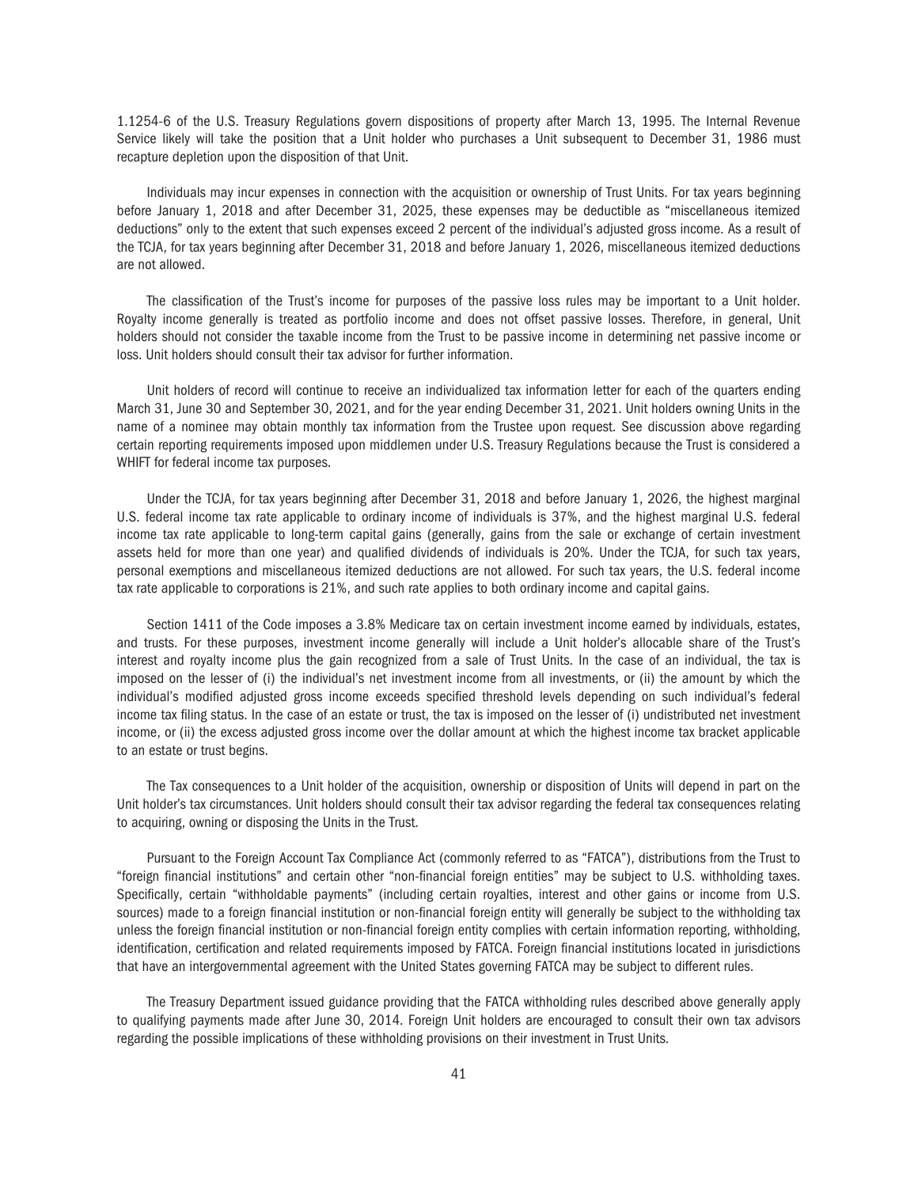1.1254-6 of the U.S. Treasury Regulations govern dispositions of property after March 13, 1995. The Internal Revenue Service likely will take the position that a Unit holder who purchases a Unit subsequent to December 31, 1986 must recapture depletion upon the disposition of that Unit.

Individuals may incur expenses in connection with the acquisition or ownership of Trust Units. For tax years beginning before January 1, 2018 and after December 31, 2025, these expenses may be deductible as "miscellaneous itemized deductions" only to the extent that such expenses exceed 2 percent of the individual's adjusted gross income. As a result of the TCJA, for tax years beginning after December 31, 2018 and before January 1, 2026, miscellaneous itemized deductions are not allowed.

The classification of the Trust's income for purposes of the passive loss rules may be important to a Unit holder. Royalty income generally is treated as portfolio income and does not offset passive losses. Therefore, in general, Unit holders should not consider the taxable income from the Trust to be passive income in determining net passive income or loss. Unit holders should consult their tax advisor for further information.

Unit holders of record will continue to receive an individualized tax information letter for each of the quarters ending March 31, June 30 and September 30, 2021, and for the year ending December 31, 2021. Unit holders owning Units in the name of a nominee may obtain monthly tax information from the Trustee upon request. See discussion above regarding certain reporting requirements imposed upon middlemen under U.S. Treasury Regulations because the Trust is considered a WHIFT for federal income tax purposes.

Under the TCJA, for tax years beginning after December 31, 2018 and before January 1, 2026, the highest marginal U.S. federal income tax rate applicable to ordinary income of individuals is 37%, and the highest marginal U.S. federal income tax rate applicable to long-term capital gains (generally, gains from the sale or exchange of certain investment assets held for more than one year) and qualified dividends of individuals is 20%. Under the TCJA, for such tax years, personal exemptions and miscellaneous itemized deductions are not allowed. For such tax years, the U.S. federal income tax rate applicable to corporations is 21%, and such rate applies to both ordinary income and capital gains.

Section 1411 of the Code imposes a 3.8% Medicare tax on certain investment income earned by individuals, estates, and trusts. For these purposes, investment income generally will include a Unit holder's allocable share of the Trust's interest and royalty income plus the gain recognized from a sale of Trust Units. In the case of an individual, the tax is imposed on the lesser of (i) the individual's net investment income from all investments, or (ii) the amount by which the individual's modified adjusted gross income exceeds specified threshold levels depending on such individual's federal income tax filing status. In the case of an estate or trust, the tax is imposed on the lesser of (i) undistributed net investment income, or (ii) the excess adjusted gross income over the dollar amount at which the highest income tax bracket applicable to an estate or trust begins.

The Tax consequences to a Unit holder of the acquisition, ownership or disposition of Units will depend in part on the Unit holder's tax circumstances. Unit holders should consult their tax advisor regarding the federal tax consequences relating to acquiring, owning or disposing the Units in the Trust.

Pursuant to the Foreign Account Tax Compliance Act (commonly referred to as "FATCA"), distributions from the Trust to "foreign financial institutions" and certain other "non-financial foreign entities" may be subject to U.S. withholding taxes. Specifically, certain "withholdable payments" (including certain royalties, interest and other gains or income from U.S. sources) made to a foreign financial institution or non-financial foreign entity will generally be subject to the withholding tax unless the foreign financial institution or non-financial foreign entity complies with certain information reporting, withholding, identification, certification and related requirements imposed by FATCA. Foreign financial institutions located in jurisdictions that have an intergovernmental agreement with the United States governing FATCA may be subject to different rules.

The Treasury Department issued guidance providing that the FATCA withholding rules described above generally apply to qualifying payments made after June 30, 2014. Foreign Unit holders are encouraged to consult their own tax advisors regarding the possible implications of these withholding provisions on their investment in Trust Units.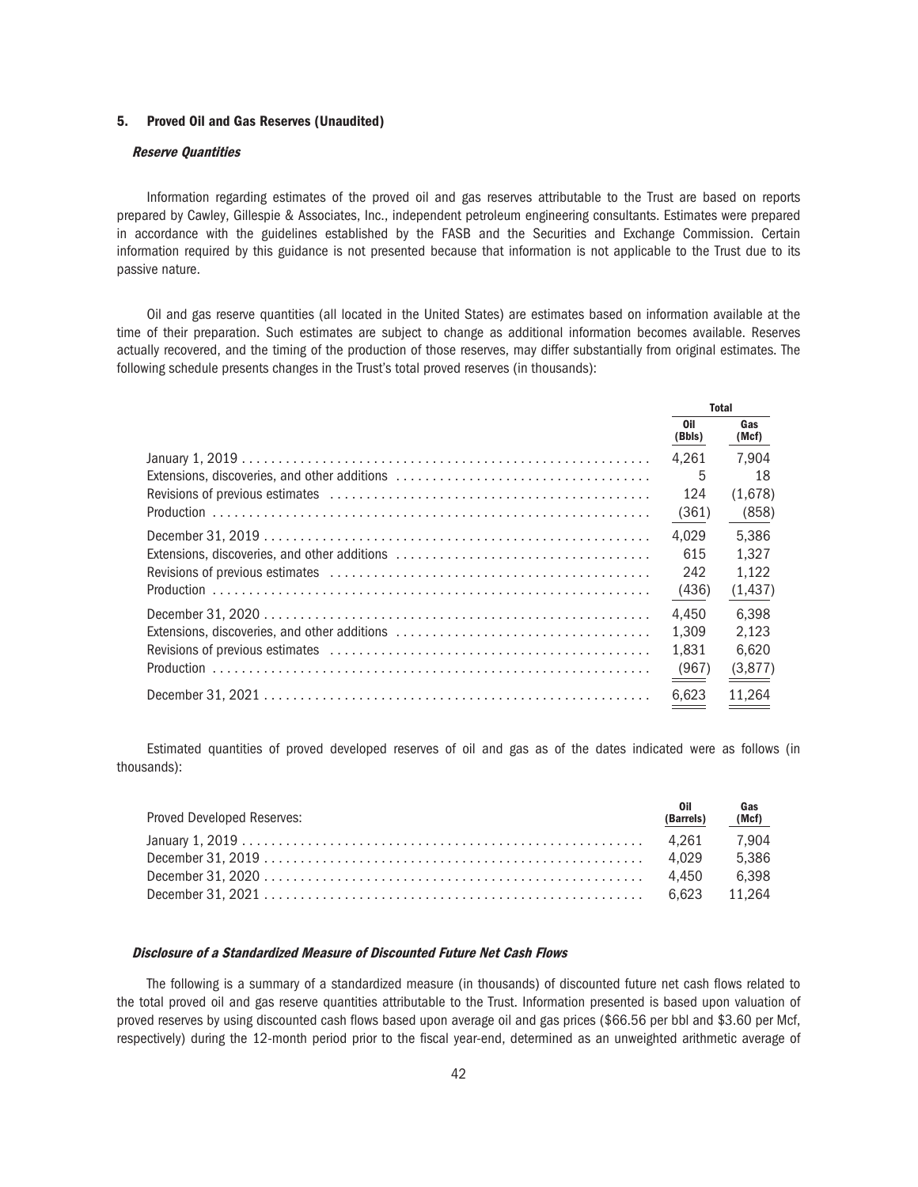# 5. Proved Oil and Gas Reserves (Unaudited)

#### Reserve Quantities

Information regarding estimates of the proved oil and gas reserves attributable to the Trust are based on reports prepared by Cawley, Gillespie & Associates, Inc., independent petroleum engineering consultants. Estimates were prepared in accordance with the guidelines established by the FASB and the Securities and Exchange Commission. Certain information required by this guidance is not presented because that information is not applicable to the Trust due to its passive nature.

Oil and gas reserve quantities (all located in the United States) are estimates based on information available at the time of their preparation. Such estimates are subject to change as additional information becomes available. Reserves actually recovered, and the timing of the production of those reserves, may differ substantially from original estimates. The following schedule presents changes in the Trust's total proved reserves (in thousands):

| <b>Total</b>  |              |
|---------------|--------------|
| Oil<br>(Bbls) | Gas<br>(Mcf) |
| 4.261         | 7.904        |
| 5             | 18           |
| 124           | (1,678)      |
| (361)         | (858)        |
| 4.029         | 5,386        |
| 615           | 1.327        |
| 242           | 1,122        |
| (436)         | (1, 437)     |
| 4.450         | 6.398        |
| 1.309         | 2.123        |
| 1.831         | 6.620        |
| (967)         | (3,877)      |
| 6.623         | 11.264       |

Estimated quantities of proved developed reserves of oil and gas as of the dates indicated were as follows (in thousands):

| Proved Developed Reserves: | <b>Oil</b><br>(Barrels) | Gas<br>(Mcf) |
|----------------------------|-------------------------|--------------|
|                            |                         | 7.904        |
|                            |                         | 5.386        |
|                            |                         |              |
|                            |                         |              |

#### Disclosure of a Standardized Measure of Discounted Future Net Cash Flows

The following is a summary of a standardized measure (in thousands) of discounted future net cash flows related to the total proved oil and gas reserve quantities attributable to the Trust. Information presented is based upon valuation of proved reserves by using discounted cash flows based upon average oil and gas prices (\$66.56 per bbl and \$3.60 per Mcf, respectively) during the 12-month period prior to the fiscal year-end, determined as an unweighted arithmetic average of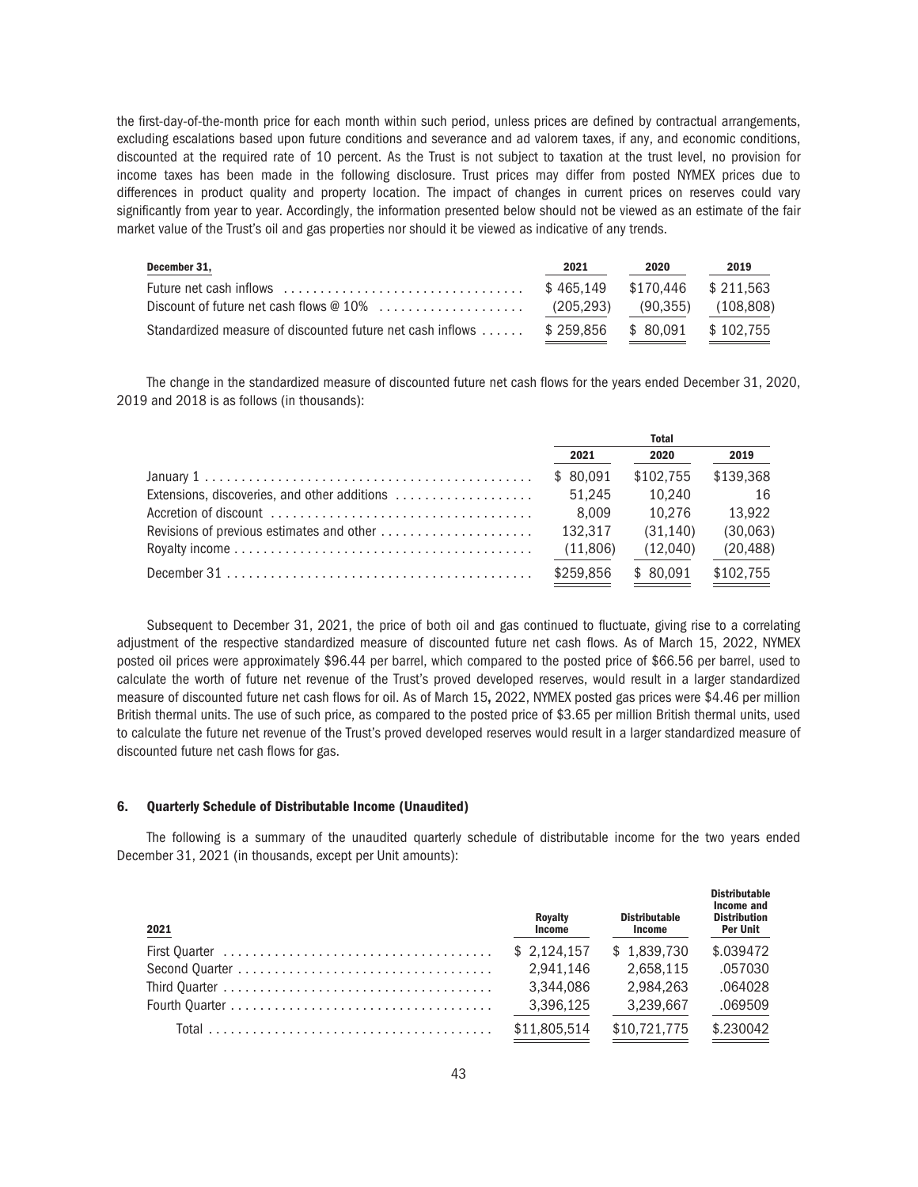the first-day-of-the-month price for each month within such period, unless prices are defined by contractual arrangements, excluding escalations based upon future conditions and severance and ad valorem taxes, if any, and economic conditions, discounted at the required rate of 10 percent. As the Trust is not subject to taxation at the trust level, no provision for income taxes has been made in the following disclosure. Trust prices may differ from posted NYMEX prices due to differences in product quality and property location. The impact of changes in current prices on reserves could vary significantly from year to year. Accordingly, the information presented below should not be viewed as an estimate of the fair market value of the Trust's oil and gas properties nor should it be viewed as indicative of any trends.

| December 31,                                                                                     | 2021                          | 2020 | 2019 |
|--------------------------------------------------------------------------------------------------|-------------------------------|------|------|
| Future net cash inflows $\ldots, \ldots, \ldots, \ldots, \ldots, \ldots, \ldots, \ldots, \ldots$ | \$465.149 \$170.446 \$211.563 |      |      |
|                                                                                                  | (205,293) (90,355) (108,808)  |      |      |
| Standardized measure of discounted future net cash inflows  \$ 259.856 \$ 80.091 \$ 102.755      |                               |      |      |

The change in the standardized measure of discounted future net cash flows for the years ended December 31, 2020, 2019 and 2018 is as follows (in thousands):

|                                                                                                                                     | <b>Total</b> |           |           |
|-------------------------------------------------------------------------------------------------------------------------------------|--------------|-----------|-----------|
|                                                                                                                                     | 2021         | 2020      | 2019      |
|                                                                                                                                     | \$ 80.091    | \$102.755 | \$139.368 |
|                                                                                                                                     | 51.245       | 10.240    | - 16      |
| Accretion of discount $\ldots, \ldots, \ldots, \ldots, \ldots, \ldots, \ldots, \ldots, \ldots$                                      | 8.009        | 10.276    | 13.922    |
|                                                                                                                                     | 132.317      | (31.140)  | (30,063)  |
|                                                                                                                                     | (11,806)     | (12,040)  | (20, 488) |
| December 31 $\dots$ , $\dots$ , $\dots$ , $\dots$ , $\dots$ , $\dots$ , $\dots$ , $\dots$ , $\dots$ , $\dots$ , $\dots$ , $\dots$ , | \$259.856    | \$ 80.091 | \$102.755 |

Subsequent to December 31, 2021, the price of both oil and gas continued to fluctuate, giving rise to a correlating adjustment of the respective standardized measure of discounted future net cash flows. As of March 15, 2022, NYMEX posted oil prices were approximately \$96.44 per barrel, which compared to the posted price of \$66.56 per barrel, used to calculate the worth of future net revenue of the Trust's proved developed reserves, would result in a larger standardized measure of discounted future net cash flows for oil. As of March 15, 2022, NYMEX posted gas prices were \$4.46 per million British thermal units. The use of such price, as compared to the posted price of \$3.65 per million British thermal units, used to calculate the future net revenue of the Trust's proved developed reserves would result in a larger standardized measure of discounted future net cash flows for gas.

### 6. Quarterly Schedule of Distributable Income (Unaudited)

The following is a summary of the unaudited quarterly schedule of distributable income for the two years ended December 31, 2021 (in thousands, except per Unit amounts):

| 2021 | <b>Royalty</b><br><b>Income</b> | <b>Distributable</b><br>Income | <b>Distributable</b><br>Income and<br><b>Distribution</b><br>Per Unit |
|------|---------------------------------|--------------------------------|-----------------------------------------------------------------------|
|      | \$2.124.157                     | \$1.839.730                    | \$.039472                                                             |
|      | 2.941.146                       | 2.658.115                      | .057030                                                               |
|      | 3.344.086                       | 2.984.263                      | .064028                                                               |
|      | 3,396,125                       | 3.239.667                      | .069509                                                               |
|      | \$11,805,514                    | \$10,721,775                   | \$.230042                                                             |